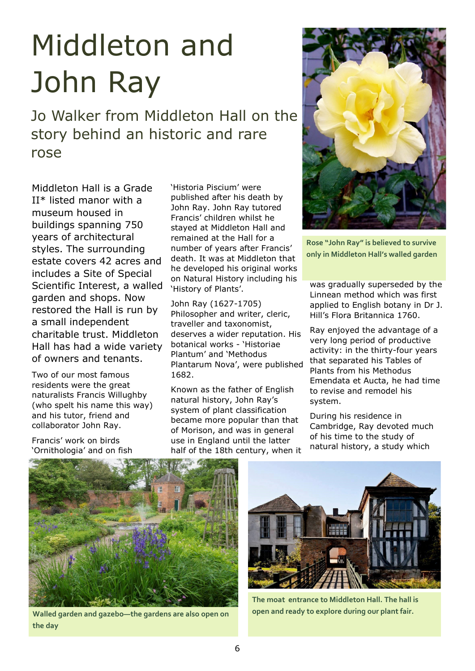## Middleton and John Ray

Jo Walker from Middleton Hall on the story behind an historic and rare rose

Middleton Hall is a Grade II\* listed manor with a museum housed in buildings spanning 750 years of architectural styles. The surrounding estate covers 42 acres and includes a Site of Special Scientific Interest, a walled garden and shops. Now restored the Hall is run by a small independent charitable trust. Middleton Hall has had a wide variety of owners and tenants.

Two of our most famous residents were the great naturalists Francis Willughby (who spelt his name this way) and his tutor, friend and collaborator John Ray.

Francis' work on birds 'Ornithologia' and on fish 'Historia Piscium' were published after his death by John Ray. John Ray tutored Francis' children whilst he stayed at Middleton Hall and remained at the Hall for a number of years after Francis' death. It was at Middleton that he developed his original works on Natural History including his 'History of Plants'.

John Ray (1627-1705) Philosopher and writer, cleric, traveller and taxonomist, deserves a wider reputation. His botanical works - 'Historiae Plantum' and 'Methodus Plantarum Nova', were published 1682.

Known as the father of English natural history, John Ray's system of plant classification became more popular than that of Morison, and was in general use in England until the latter half of the 18th century, when it



**Rose "John Ray" is believed to survive only in Middleton Hall's walled garden**

was gradually superseded by the Linnean method which was first applied to English botany in Dr J. Hill's Flora Britannica 1760.

Ray enjoyed the advantage of a very long period of productive activity: in the thirty-four years that separated his Tables of Plants from his Methodus Emendata et Aucta, he had time to revise and remodel his system.

During his residence in Cambridge, Ray devoted much of his time to the study of natural history, a study which



**the day**



**The moat entrance to Middleton Hall. The hall is Walled garden and gazebo—the gardens are also open on** open and ready to explore during our plant fair.